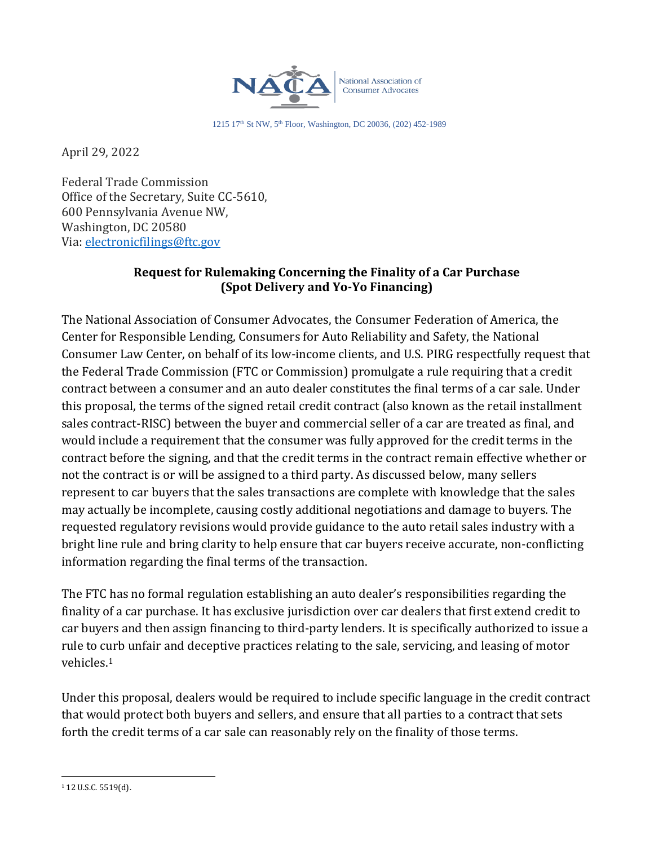

1215 17th St NW, 5th Floor, Washington, DC 20036, (202) 452-1989

April 29, 2022

Federal Trade Commission Office of the Secretary, Suite CC-5610, 600 Pennsylvania Avenue NW, Washington, DC 20580 Via: [electronicfilings@ftc.gov](mailto:electronicfilings@ftc.gov)

#### **Request for Rulemaking Concerning the Finality of a Car Purchase (Spot Delivery and Yo-Yo Financing)**

The National Association of Consumer Advocates, the Consumer Federation of America, the Center for Responsible Lending, Consumers for Auto Reliability and Safety, the National Consumer Law Center, on behalf of its low-income clients, and U.S. PIRG respectfully request that the Federal Trade Commission (FTC or Commission) promulgate a rule requiring that a credit contract between a consumer and an auto dealer constitutes the final terms of a car sale. Under this proposal, the terms of the signed retail credit contract (also known as the retail installment sales contract-RISC) between the buyer and commercial seller of a car are treated as final, and would include a requirement that the consumer was fully approved for the credit terms in the contract before the signing, and that the credit terms in the contract remain effective whether or not the contract is or will be assigned to a third party. As discussed below, many sellers represent to car buyers that the sales transactions are complete with knowledge that the sales may actually be incomplete, causing costly additional negotiations and damage to buyers. The requested regulatory revisions would provide guidance to the auto retail sales industry with a bright line rule and bring clarity to help ensure that car buyers receive accurate, non-conflicting information regarding the final terms of the transaction.

The FTC has no formal regulation establishing an auto dealer's responsibilities regarding the finality of a car purchase. It has exclusive jurisdiction over car dealers that first extend credit to car buyers and then assign financing to third-party lenders. It is specifically authorized to issue a rule to curb unfair and deceptive practices relating to the sale, servicing, and leasing of motor vehicles. 1

Under this proposal, dealers would be required to include specific language in the credit contract that would protect both buyers and sellers, and ensure that all parties to a contract that sets forth the credit terms of a car sale can reasonably rely on the finality of those terms.

<sup>1</sup> 12 U.S.C. 5519(d).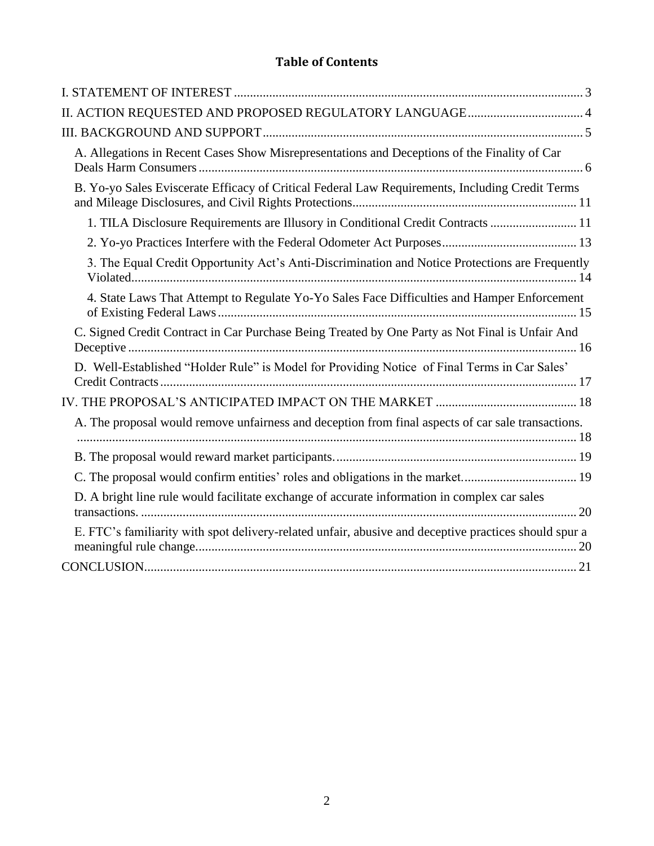# **Table of Contents**

| A. Allegations in Recent Cases Show Misrepresentations and Deceptions of the Finality of Car          |
|-------------------------------------------------------------------------------------------------------|
| B. Yo-yo Sales Eviscerate Efficacy of Critical Federal Law Requirements, Including Credit Terms       |
| 1. TILA Disclosure Requirements are Illusory in Conditional Credit Contracts  11                      |
|                                                                                                       |
| 3. The Equal Credit Opportunity Act's Anti-Discrimination and Notice Protections are Frequently       |
| 4. State Laws That Attempt to Regulate Yo-Yo Sales Face Difficulties and Hamper Enforcement           |
| C. Signed Credit Contract in Car Purchase Being Treated by One Party as Not Final is Unfair And       |
| D. Well-Established "Holder Rule" is Model for Providing Notice of Final Terms in Car Sales'          |
|                                                                                                       |
| A. The proposal would remove unfairness and deception from final aspects of car sale transactions.    |
|                                                                                                       |
| C. The proposal would confirm entities' roles and obligations in the market 19                        |
| D. A bright line rule would facilitate exchange of accurate information in complex car sales          |
| E. FTC's familiarity with spot delivery-related unfair, abusive and deceptive practices should spur a |
|                                                                                                       |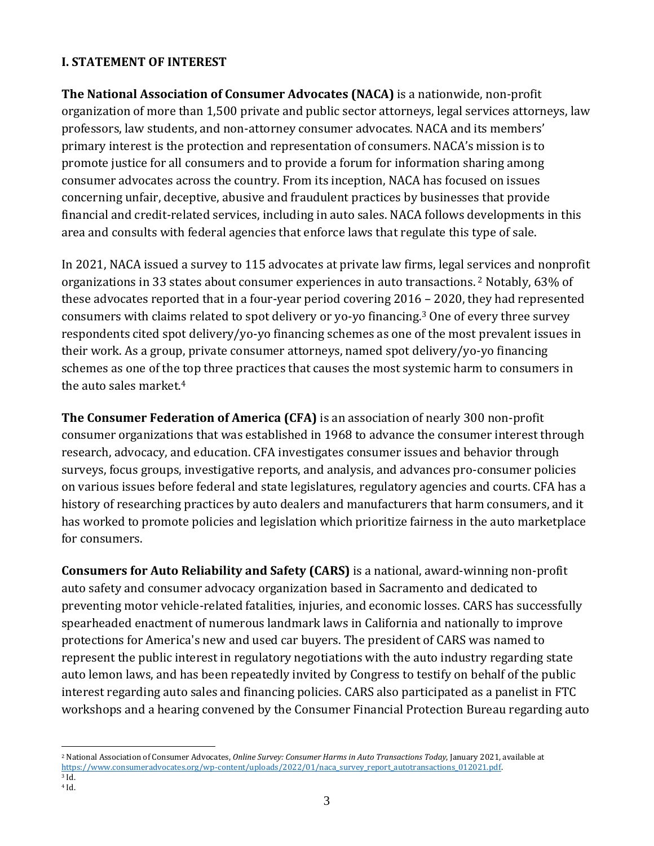#### <span id="page-2-0"></span>**I. STATEMENT OF INTEREST**

**The National Association of Consumer Advocates (NACA)** is a nationwide, non-profit organization of more than 1,500 private and public sector attorneys, legal services attorneys, law professors, law students, and non-attorney consumer advocates. NACA and its members' primary interest is the protection and representation of consumers. NACA's mission is to promote justice for all consumers and to provide a forum for information sharing among consumer advocates across the country. From its inception, NACA has focused on issues concerning unfair, deceptive, abusive and fraudulent practices by businesses that provide financial and credit-related services, including in auto sales. NACA follows developments in this area and consults with federal agencies that enforce laws that regulate this type of sale.

In 2021, NACA issued a survey to 115 advocates at private law firms, legal services and nonprofit organizations in 33 states about consumer experiences in auto transactions. <sup>2</sup> Notably, 63% of these advocates reported that in a four-year period covering 2016 – 2020, they had represented consumers with claims related to spot delivery or yo-yo financing.<sup>3</sup> One of every three survey respondents cited spot delivery/yo-yo financing schemes as one of the most prevalent issues in their work. As a group, private consumer attorneys, named spot delivery/yo-yo financing schemes as one of the top three practices that causes the most systemic harm to consumers in the auto sales market.<sup>4</sup>

**The Consumer Federation of America (CFA)** is an association of nearly 300 non-profit consumer organizations that was established in 1968 to advance the consumer interest through research, advocacy, and education. CFA investigates consumer issues and behavior through surveys, focus groups, investigative reports, and analysis, and advances pro-consumer policies on various issues before federal and state legislatures, regulatory agencies and courts. CFA has a history of researching practices by auto dealers and manufacturers that harm consumers, and it has worked to promote policies and legislation which prioritize fairness in the auto marketplace for consumers.

**Consumers for Auto Reliability and Safety (CARS)** is a national, award-winning non-profit auto safety and consumer advocacy organization based in Sacramento and dedicated to preventing motor vehicle-related fatalities, injuries, and economic losses. CARS has successfully spearheaded enactment of numerous landmark laws in California and nationally to improve protections for America's new and used car buyers. The president of CARS was named to represent the public interest in regulatory negotiations with the auto industry regarding state auto lemon laws, and has been repeatedly invited by Congress to testify on behalf of the public interest regarding auto sales and financing policies. CARS also participated as a panelist in FTC workshops and a hearing convened by the Consumer Financial Protection Bureau regarding auto

<sup>3</sup> Id. <sup>4</sup> Id.

<sup>2</sup> National Association of Consumer Advocates, *Online Survey: Consumer Harms in Auto Transactions Today*, January 2021, available at https://www.consumeradvocates.org/wp-content/uploads/2022/01/naca\_survey\_report\_autotransactions\_012021.pdf.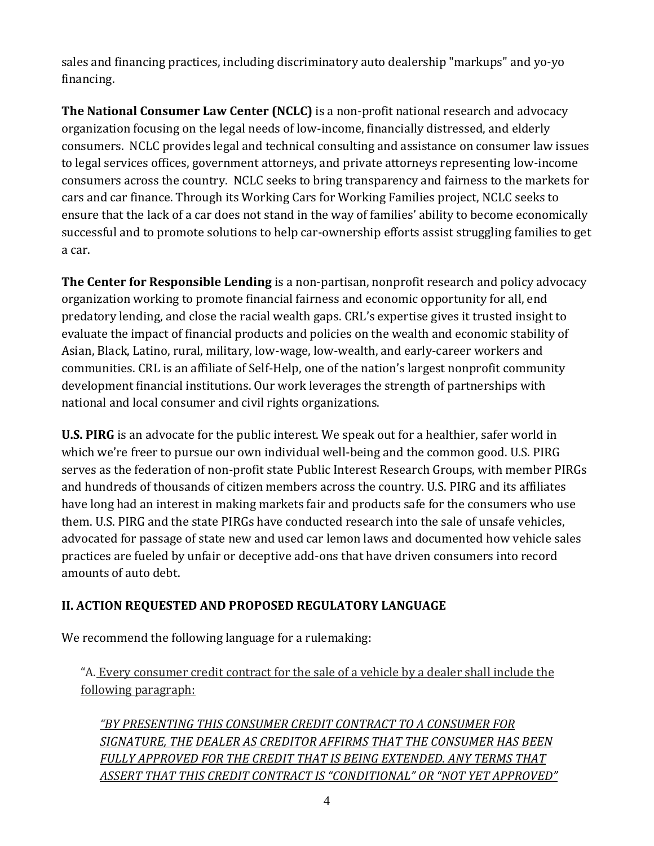sales and financing practices, including discriminatory auto dealership "markups" and yo-yo financing.

**The National Consumer Law Center (NCLC)** is a non-profit national research and advocacy organization focusing on the legal needs of low-income, financially distressed, and elderly consumers. NCLC provides legal and technical consulting and assistance on consumer law issues to legal services offices, government attorneys, and private attorneys representing low-income consumers across the country. NCLC seeks to bring transparency and fairness to the markets for cars and car finance. Through its Working Cars for Working Families project, NCLC seeks to ensure that the lack of a car does not stand in the way of families' ability to become economically successful and to promote solutions to help car-ownership efforts assist struggling families to get a car.

**The Center for Responsible Lending** is a non-partisan, nonprofit research and policy advocacy organization working to promote financial fairness and economic opportunity for all, end predatory lending, and close the racial wealth gaps. CRL's expertise gives it trusted insight to evaluate the impact of financial products and policies on the wealth and economic stability of Asian, Black, Latino, rural, military, low-wage, low-wealth, and early-career workers and communities. CRL is an affiliate of Self-Help, one of the nation's largest nonprofit community development financial institutions. Our work leverages the strength of partnerships with national and local consumer and civil rights organizations.

**U.S. PIRG** is an advocate for the public interest. We speak out for a healthier, safer world in which we're freer to pursue our own individual well-being and the common good. U.S. PIRG serves as the federation of non-profit state Public Interest Research Groups, with member PIRGs and hundreds of thousands of citizen members across the country. U.S. PIRG and its affiliates have long had an interest in making markets fair and products safe for the consumers who use them. U.S. PIRG and the state PIRGs have conducted research into the sale of unsafe vehicles, advocated for passage of state new and used car lemon laws and documented how vehicle sales practices are fueled by unfair or deceptive add-ons that have driven consumers into record amounts of auto debt.

### <span id="page-3-0"></span>**II. ACTION REQUESTED AND PROPOSED REGULATORY LANGUAGE**

We recommend the following language for a rulemaking:

"A. Every consumer credit contract for the sale of a vehicle by a dealer shall include the following paragraph:

*"BY PRESENTING THIS CONSUMER CREDIT CONTRACT TO A CONSUMER FOR SIGNATURE, THE DEALER AS CREDITOR AFFIRMS THAT THE CONSUMER HAS BEEN FULLY APPROVED FOR THE CREDIT THAT IS BEING EXTENDED. ANY TERMS THAT ASSERT THAT THIS CREDIT CONTRACT IS "CONDITIONAL" OR "NOT YET APPROVED"*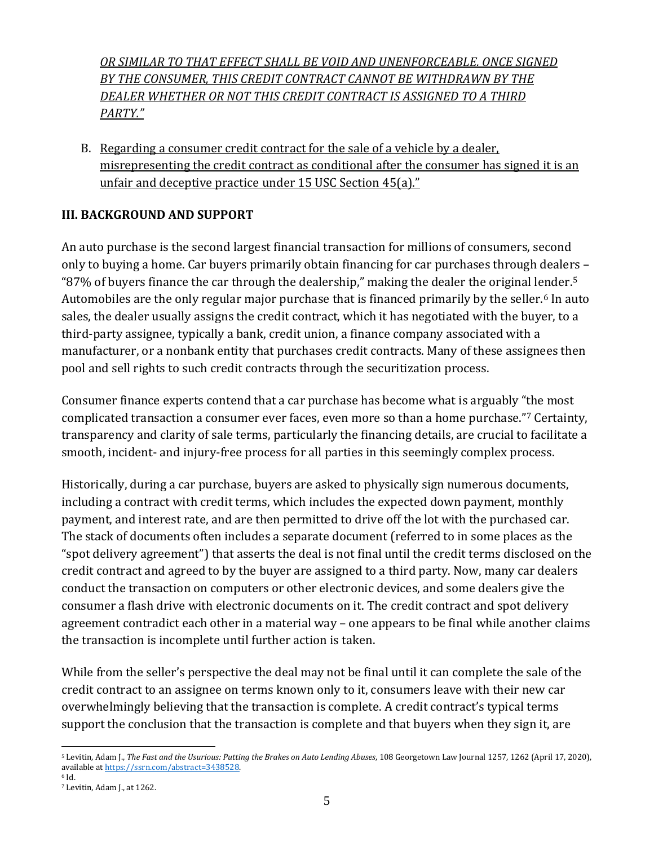*OR SIMILAR TO THAT EFFECT SHALL BE VOID AND UNENFORCEABLE. ONCE SIGNED BY THE CONSUMER, THIS CREDIT CONTRACT CANNOT BE WITHDRAWN BY THE DEALER WHETHER OR NOT THIS CREDIT CONTRACT IS ASSIGNED TO A THIRD PARTY."*

B. Regarding a consumer credit contract for the sale of a vehicle by a dealer, misrepresenting the credit contract as conditional after the consumer has signed it is an unfair and deceptive practice under 15 USC Section 45(a)."

### <span id="page-4-0"></span>**III. BACKGROUND AND SUPPORT**

An auto purchase is the second largest financial transaction for millions of consumers, second only to buying a home. Car buyers primarily obtain financing for car purchases through dealers – "87% of buyers finance the car through the dealership," making the dealer the original lender.<sup>5</sup> Automobiles are the only regular major purchase that is financed primarily by the seller.<sup>6</sup> In auto sales, the dealer usually assigns the credit contract, which it has negotiated with the buyer, to a third-party assignee, typically a bank, credit union, a finance company associated with a manufacturer, or a nonbank entity that purchases credit contracts. Many of these assignees then pool and sell rights to such credit contracts through the securitization process.

Consumer finance experts contend that a car purchase has become what is arguably "the most complicated transaction a consumer ever faces, even more so than a home purchase."<sup>7</sup> Certainty, transparency and clarity of sale terms, particularly the financing details, are crucial to facilitate a smooth, incident- and injury-free process for all parties in this seemingly complex process.

Historically, during a car purchase, buyers are asked to physically sign numerous documents, including a contract with credit terms, which includes the expected down payment, monthly payment, and interest rate, and are then permitted to drive off the lot with the purchased car. The stack of documents often includes a separate document (referred to in some places as the "spot delivery agreement") that asserts the deal is not final until the credit terms disclosed on the credit contract and agreed to by the buyer are assigned to a third party. Now, many car dealers conduct the transaction on computers or other electronic devices, and some dealers give the consumer a flash drive with electronic documents on it. The credit contract and spot delivery agreement contradict each other in a material way – one appears to be final while another claims the transaction is incomplete until further action is taken.

While from the seller's perspective the deal may not be final until it can complete the sale of the credit contract to an assignee on terms known only to it, consumers leave with their new car overwhelmingly believing that the transaction is complete. A credit contract's typical terms support the conclusion that the transaction is complete and that buyers when they sign it, are

<sup>5</sup> Levitin, Adam J., *The Fast and the Usurious: Putting the Brakes on Auto Lending Abuses*, 108 Georgetown Law Journal 1257, 1262 (April 17, 2020), available a[t https://ssrn.com/abstract=3438528.](https://ssrn.com/abstract=3438528)

<sup>6</sup> Id.

<sup>7</sup> Levitin, Adam J., at 1262.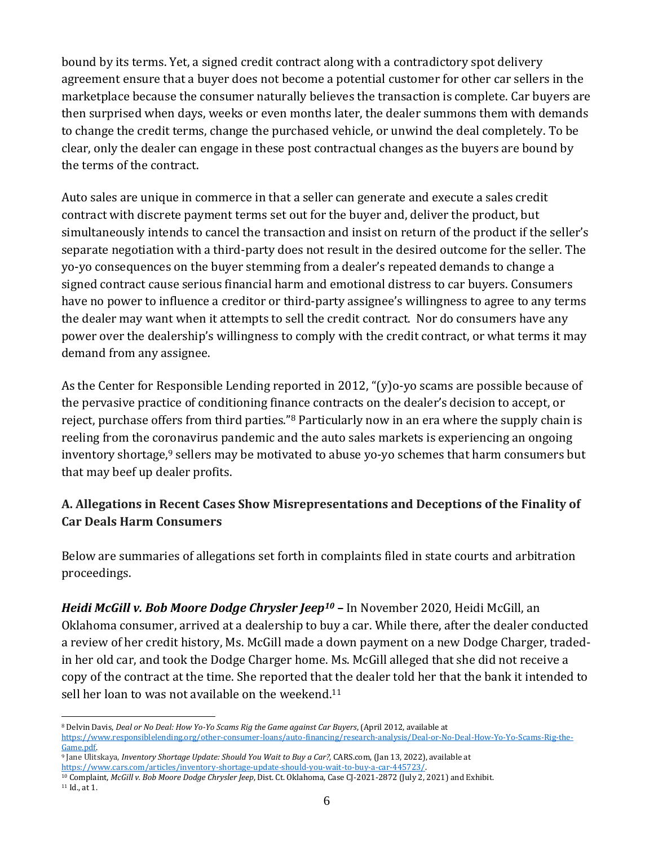bound by its terms. Yet, a signed credit contract along with a contradictory spot delivery agreement ensure that a buyer does not become a potential customer for other car sellers in the marketplace because the consumer naturally believes the transaction is complete. Car buyers are then surprised when days, weeks or even months later, the dealer summons them with demands to change the credit terms, change the purchased vehicle, or unwind the deal completely. To be clear, only the dealer can engage in these post contractual changes as the buyers are bound by the terms of the contract.

Auto sales are unique in commerce in that a seller can generate and execute a sales credit contract with discrete payment terms set out for the buyer and, deliver the product, but simultaneously intends to cancel the transaction and insist on return of the product if the seller's separate negotiation with a third-party does not result in the desired outcome for the seller. The yo-yo consequences on the buyer stemming from a dealer's repeated demands to change a signed contract cause serious financial harm and emotional distress to car buyers. Consumers have no power to influence a creditor or third-party assignee's willingness to agree to any terms the dealer may want when it attempts to sell the credit contract. Nor do consumers have any power over the dealership's willingness to comply with the credit contract, or what terms it may demand from any assignee.

As the Center for Responsible Lending reported in 2012, "(y)o-yo scams are possible because of the pervasive practice of conditioning finance contracts on the dealer's decision to accept, or reject, purchase offers from third parties."<sup>8</sup> Particularly now in an era where the supply chain is reeling from the coronavirus pandemic and the auto sales markets is experiencing an ongoing inventory shortage, $9$  sellers may be motivated to abuse yo-yo schemes that harm consumers but that may beef up dealer profits.

### <span id="page-5-0"></span>**A. Allegations in Recent Cases Show Misrepresentations and Deceptions of the Finality of Car Deals Harm Consumers**

Below are summaries of allegations set forth in complaints filed in state courts and arbitration proceedings.

*Heidi McGill v. Bob Moore Dodge Chrysler Jeep<sup>10</sup>* **–** In November 2020, Heidi McGill, an Oklahoma consumer, arrived at a dealership to buy a car. While there, after the dealer conducted a review of her credit history, Ms. McGill made a down payment on a new Dodge Charger, tradedin her old car, and took the Dodge Charger home. Ms. McGill alleged that she did not receive a copy of the contract at the time. She reported that the dealer told her that the bank it intended to sell her loan to was not available on the weekend.<sup>11</sup>

<sup>11</sup> Id., at 1.

<sup>8</sup> Delvin Davis, *Deal or No Deal: How Yo-Yo Scams Rig the Game against Car Buyers*, (April 2012, available at [https://www.responsiblelending.org/other-consumer-loans/auto-financing/research-analysis/Deal-or-No-Deal-How-Yo-Yo-Scams-Rig-the-](https://www.responsiblelending.org/other-consumer-loans/auto-financing/research-analysis/Deal-or-No-Deal-How-Yo-Yo-Scams-Rig-the-Game.pdf)

[Game.pdf.](https://www.responsiblelending.org/other-consumer-loans/auto-financing/research-analysis/Deal-or-No-Deal-How-Yo-Yo-Scams-Rig-the-Game.pdf) 

<sup>&</sup>lt;sup>9</sup> Jane Ulitskaya, *Inventory Shortage Update: Should You Wait to Buy a Car?, CARS.com, (Jan 13, 2022), available at* [https://www.cars.com/articles/inventory-shortage-update-should-you-wait-to-buy-a-car-445723/.](https://www.cars.com/articles/inventory-shortage-update-should-you-wait-to-buy-a-car-445723/)

<sup>&</sup>lt;sup>10</sup> Complaint, *McGill v. Bob Moore Dodge Chrysler Jeep*, Dist. Ct. Oklahoma, Case CJ-2021-2872 (July 2, 2021) and Exhibit.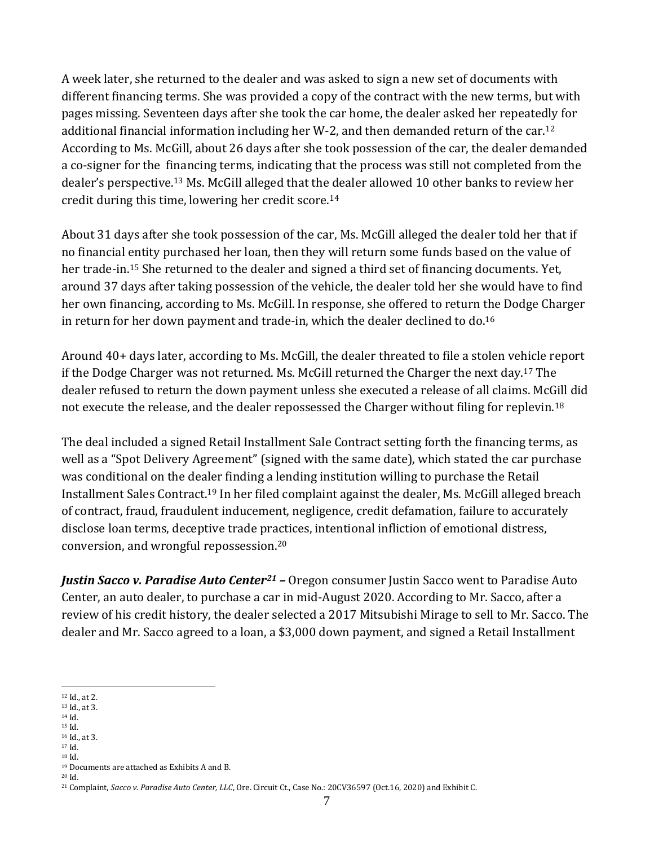A week later, she returned to the dealer and was asked to sign a new set of documents with different financing terms. She was provided a copy of the contract with the new terms, but with pages missing. Seventeen days after she took the car home, the dealer asked her repeatedly for additional financial information including her W-2, and then demanded return of the car.<sup>12</sup> According to Ms. McGill, about 26 days after she took possession of the car, the dealer demanded a co-signer for the financing terms, indicating that the process was still not completed from the dealer's perspective.<sup>13</sup> Ms. McGill alleged that the dealer allowed 10 other banks to review her credit during this time, lowering her credit score.<sup>14</sup>

About 31 days after she took possession of the car, Ms. McGill alleged the dealer told her that if no financial entity purchased her loan, then they will return some funds based on the value of her trade-in.<sup>15</sup> She returned to the dealer and signed a third set of financing documents. Yet, around 37 days after taking possession of the vehicle, the dealer told her she would have to find her own financing, according to Ms. McGill. In response, she offered to return the Dodge Charger in return for her down payment and trade-in, which the dealer declined to do.<sup>16</sup>

Around 40+ days later, according to Ms. McGill, the dealer threated to file a stolen vehicle report if the Dodge Charger was not returned. Ms. McGill returned the Charger the next day.<sup>17</sup> The dealer refused to return the down payment unless she executed a release of all claims. McGill did not execute the release, and the dealer repossessed the Charger without filing for replevin.<sup>18</sup>

The deal included a signed Retail Installment Sale Contract setting forth the financing terms, as well as a "Spot Delivery Agreement" (signed with the same date), which stated the car purchase was conditional on the dealer finding a lending institution willing to purchase the Retail Installment Sales Contract.<sup>19</sup> In her filed complaint against the dealer, Ms. McGill alleged breach of contract, fraud, fraudulent inducement, negligence, credit defamation, failure to accurately disclose loan terms, deceptive trade practices, intentional infliction of emotional distress, conversion, and wrongful repossession.<sup>20</sup>

*Justin Sacco v. Paradise Auto Center<sup>21</sup> –* Oregon consumer Justin Sacco went to Paradise Auto Center, an auto dealer, to purchase a car in mid-August 2020. According to Mr. Sacco, after a review of his credit history, the dealer selected a 2017 Mitsubishi Mirage to sell to Mr. Sacco. The dealer and Mr. Sacco agreed to a loan, a \$3,000 down payment, and signed a Retail Installment

- <sup>14</sup> Id. <sup>15</sup> Id.
- <sup>16</sup> Id., at 3.
- <sup>17</sup> Id. <sup>18</sup> Id.

<sup>19</sup> Documents are attached as Exhibits A and B. <sup>20</sup> Id.

<sup>12</sup> Id., at 2.

<sup>13</sup> Id., at 3.

<sup>21</sup> Complaint, *Sacco v. Paradise Auto Center, LLC*, Ore. Circuit Ct., Case No.: 20CV36597 (Oct.16, 2020) and Exhibit C.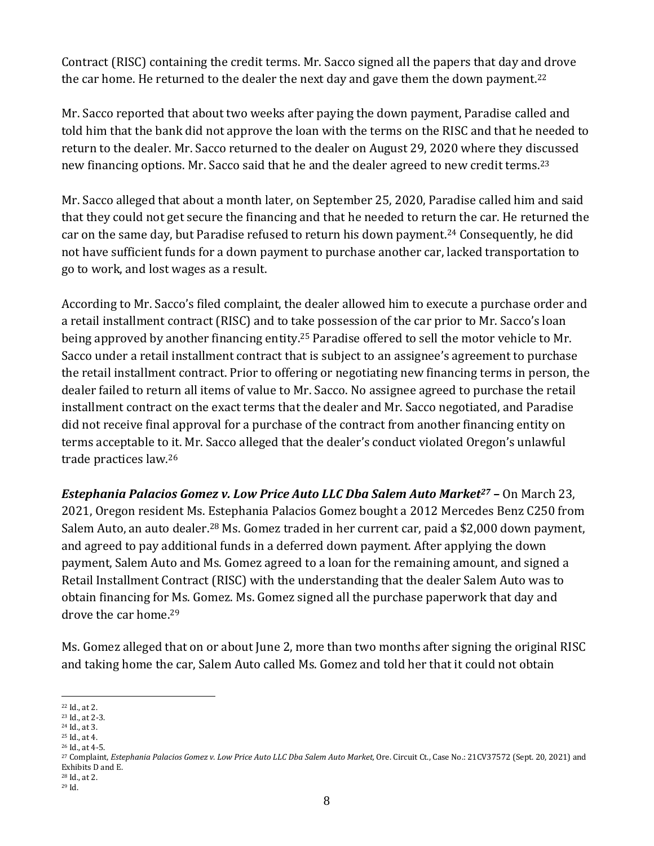Contract (RISC) containing the credit terms. Mr. Sacco signed all the papers that day and drove the car home. He returned to the dealer the next day and gave them the down payment.<sup>22</sup>

Mr. Sacco reported that about two weeks after paying the down payment, Paradise called and told him that the bank did not approve the loan with the terms on the RISC and that he needed to return to the dealer. Mr. Sacco returned to the dealer on August 29, 2020 where they discussed new financing options. Mr. Sacco said that he and the dealer agreed to new credit terms.<sup>23</sup>

Mr. Sacco alleged that about a month later, on September 25, 2020, Paradise called him and said that they could not get secure the financing and that he needed to return the car. He returned the car on the same day, but Paradise refused to return his down payment.<sup>24</sup> Consequently, he did not have sufficient funds for a down payment to purchase another car, lacked transportation to go to work, and lost wages as a result.

According to Mr. Sacco's filed complaint, the dealer allowed him to execute a purchase order and a retail installment contract (RISC) and to take possession of the car prior to Mr. Sacco's loan being approved by another financing entity.<sup>25</sup> Paradise offered to sell the motor vehicle to Mr. Sacco under a retail installment contract that is subject to an assignee's agreement to purchase the retail installment contract. Prior to offering or negotiating new financing terms in person, the dealer failed to return all items of value to Mr. Sacco. No assignee agreed to purchase the retail installment contract on the exact terms that the dealer and Mr. Sacco negotiated, and Paradise did not receive final approval for a purchase of the contract from another financing entity on terms acceptable to it. Mr. Sacco alleged that the dealer's conduct violated Oregon's unlawful trade practices law.<sup>26</sup>

*Estephania Palacios Gomez v. Low Price Auto LLC Dba Salem Auto Market<sup>27</sup> –* On March 23, 2021, Oregon resident Ms. Estephania Palacios Gomez bought a 2012 Mercedes Benz C250 from Salem Auto, an auto dealer.<sup>28</sup> Ms. Gomez traded in her current car, paid a \$2,000 down payment, and agreed to pay additional funds in a deferred down payment. After applying the down payment, Salem Auto and Ms. Gomez agreed to a loan for the remaining amount, and signed a Retail Installment Contract (RISC) with the understanding that the dealer Salem Auto was to obtain financing for Ms. Gomez. Ms. Gomez signed all the purchase paperwork that day and drove the car home.<sup>29</sup>

Ms. Gomez alleged that on or about June 2, more than two months after signing the original RISC and taking home the car, Salem Auto called Ms. Gomez and told her that it could not obtain

- <sup>25</sup> Id., at 4.
- <sup>26</sup> Id., at 4-5.

<sup>22</sup> Id., at 2.

<sup>23</sup> Id., at 2-3. <sup>24</sup> Id., at 3.

<sup>27</sup> Complaint, *Estephania Palacios Gomez v. Low Price Auto LLC Dba Salem Auto Market,* Ore. Circuit Ct., Case No.: 21CV37572 (Sept. 20, 2021) and Exhibits D and E.

<sup>28</sup> Id., at 2.

<sup>29</sup> Id.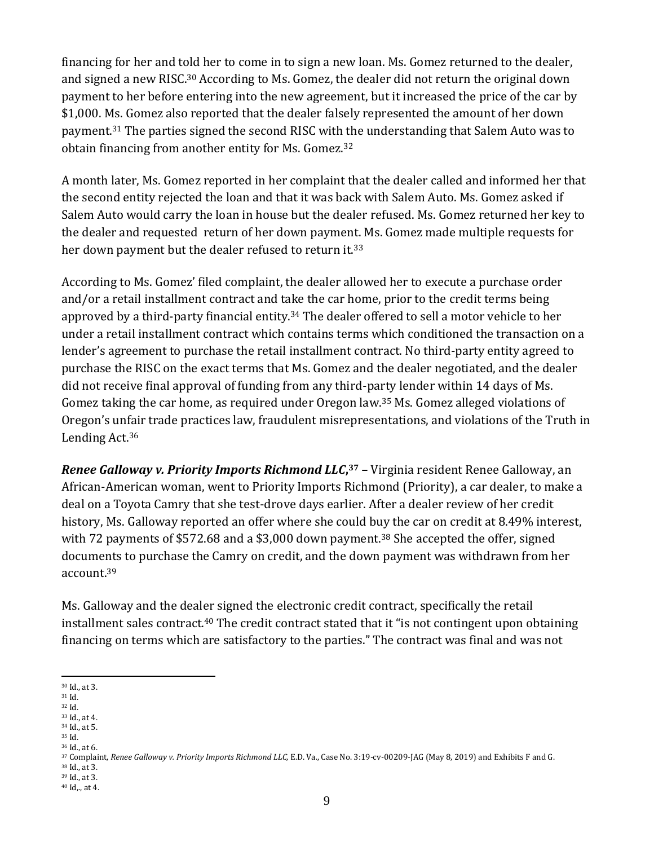financing for her and told her to come in to sign a new loan. Ms. Gomez returned to the dealer, and signed a new RISC.<sup>30</sup> According to Ms. Gomez, the dealer did not return the original down payment to her before entering into the new agreement, but it increased the price of the car by \$1,000. Ms. Gomez also reported that the dealer falsely represented the amount of her down payment.<sup>31</sup> The parties signed the second RISC with the understanding that Salem Auto was to obtain financing from another entity for Ms. Gomez.<sup>32</sup>

A month later, Ms. Gomez reported in her complaint that the dealer called and informed her that the second entity rejected the loan and that it was back with Salem Auto. Ms. Gomez asked if Salem Auto would carry the loan in house but the dealer refused. Ms. Gomez returned her key to the dealer and requested return of her down payment. Ms. Gomez made multiple requests for her down payment but the dealer refused to return it.<sup>33</sup>

According to Ms. Gomez' filed complaint, the dealer allowed her to execute a purchase order and/or a retail installment contract and take the car home, prior to the credit terms being approved by a third-party financial entity.<sup>34</sup> The dealer offered to sell a motor vehicle to her under a retail installment contract which contains terms which conditioned the transaction on a lender's agreement to purchase the retail installment contract. No third-party entity agreed to purchase the RISC on the exact terms that Ms. Gomez and the dealer negotiated, and the dealer did not receive final approval of funding from any third-party lender within 14 days of Ms. Gomez taking the car home, as required under Oregon law.<sup>35</sup> Ms. Gomez alleged violations of Oregon's unfair trade practices law, fraudulent misrepresentations, and violations of the Truth in Lending Act.<sup>36</sup>

*Renee Galloway v. Priority Imports Richmond LLC***, <sup>37</sup> –** Virginia resident Renee Galloway, an African-American woman, went to Priority Imports Richmond (Priority), a car dealer, to make a deal on a Toyota Camry that she test-drove days earlier. After a dealer review of her credit history, Ms. Galloway reported an offer where she could buy the car on credit at 8.49% interest, with 72 payments of \$572.68 and a \$3,000 down payment.<sup>38</sup> She accepted the offer, signed documents to purchase the Camry on credit, and the down payment was withdrawn from her account.<sup>39</sup>

Ms. Galloway and the dealer signed the electronic credit contract, specifically the retail installment sales contract.<sup>40</sup> The credit contract stated that it "is not contingent upon obtaining financing on terms which are satisfactory to the parties." The contract was final and was not

- <sup>32</sup> Id.
- <sup>33</sup> Id., at 4. <sup>34</sup> Id., at 5.
- <sup>35</sup> Id.
- <sup>36</sup> Id., at 6.

<sup>38</sup> Id., at 3. <sup>39</sup> Id., at 3.

<sup>30</sup> Id., at 3.

<sup>31</sup> Id.

<sup>37</sup> Complaint, *Renee Galloway v. Priority Imports Richmond LLC,* E.D. Va., Case No. 3:19-cv-00209-JAG (May 8, 2019) and Exhibits F and G.

<sup>40</sup> Id,., at 4.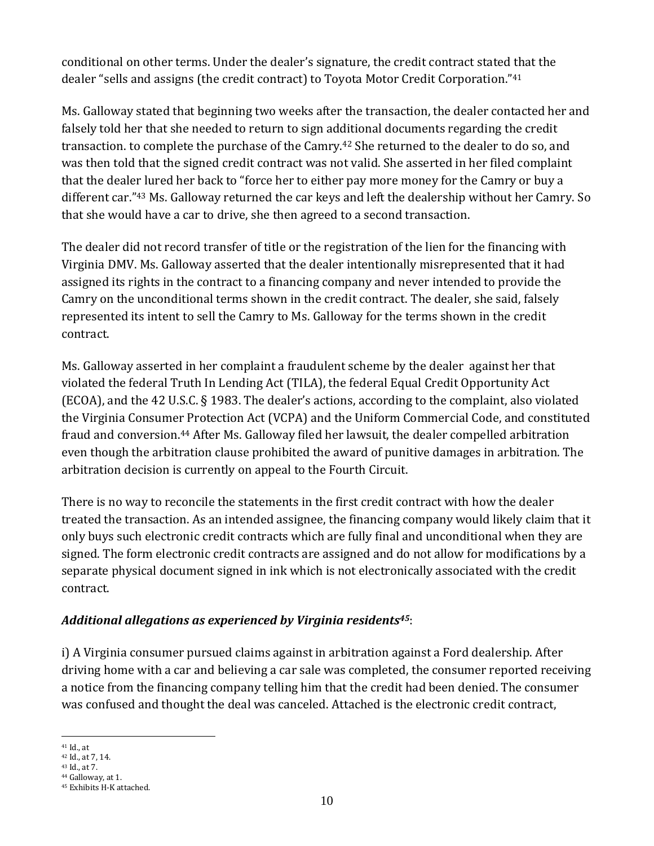conditional on other terms. Under the dealer's signature, the credit contract stated that the dealer "sells and assigns (the credit contract) to Toyota Motor Credit Corporation." 41

Ms. Galloway stated that beginning two weeks after the transaction, the dealer contacted her and falsely told her that she needed to return to sign additional documents regarding the credit transaction. to complete the purchase of the Camry.<sup>42</sup> She returned to the dealer to do so, and was then told that the signed credit contract was not valid. She asserted in her filed complaint that the dealer lured her back to "force her to either pay more money for the Camry or buy a different car." <sup>43</sup> Ms. Galloway returned the car keys and left the dealership without her Camry. So that she would have a car to drive, she then agreed to a second transaction.

The dealer did not record transfer of title or the registration of the lien for the financing with Virginia DMV. Ms. Galloway asserted that the dealer intentionally misrepresented that it had assigned its rights in the contract to a financing company and never intended to provide the Camry on the unconditional terms shown in the credit contract. The dealer, she said, falsely represented its intent to sell the Camry to Ms. Galloway for the terms shown in the credit contract.

Ms. Galloway asserted in her complaint a fraudulent scheme by the dealer against her that violated the federal Truth In Lending Act (TILA), the federal Equal Credit Opportunity Act (ECOA), and the 42 U.S.C. § 1983. The dealer's actions, according to the complaint, also violated the Virginia Consumer Protection Act (VCPA) and the Uniform Commercial Code, and constituted fraud and conversion.<sup>44</sup> After Ms. Galloway filed her lawsuit, the dealer compelled arbitration even though the arbitration clause prohibited the award of punitive damages in arbitration. The arbitration decision is currently on appeal to the Fourth Circuit.

There is no way to reconcile the statements in the first credit contract with how the dealer treated the transaction. As an intended assignee, the financing company would likely claim that it only buys such electronic credit contracts which are fully final and unconditional when they are signed. The form electronic credit contracts are assigned and do not allow for modifications by a separate physical document signed in ink which is not electronically associated with the credit contract.

#### *Additional allegations as experienced by Virginia residents45*:

i) A Virginia consumer pursued claims against in arbitration against a Ford dealership. After driving home with a car and believing a car sale was completed, the consumer reported receiving a notice from the financing company telling him that the credit had been denied. The consumer was confused and thought the deal was canceled. Attached is the electronic credit contract,

<sup>41</sup> Id., at

<sup>42</sup> Id., at 7, 14.

<sup>43</sup> Id., at 7. <sup>44</sup> Galloway, at 1.

<sup>45</sup> Exhibits H-K attached.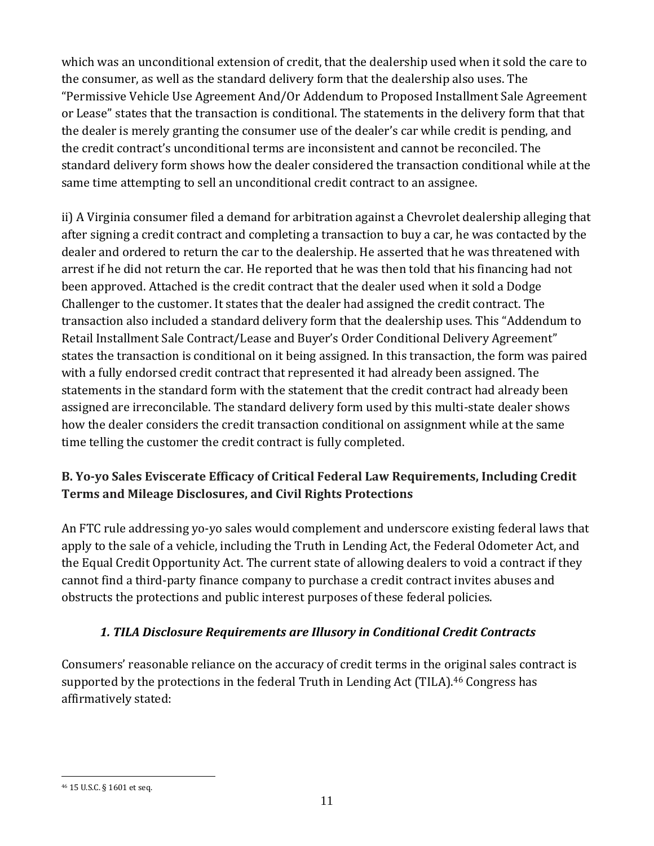which was an unconditional extension of credit, that the dealership used when it sold the care to the consumer, as well as the standard delivery form that the dealership also uses. The "Permissive Vehicle Use Agreement And/Or Addendum to Proposed Installment Sale Agreement or Lease" states that the transaction is conditional. The statements in the delivery form that that the dealer is merely granting the consumer use of the dealer's car while credit is pending, and the credit contract's unconditional terms are inconsistent and cannot be reconciled. The standard delivery form shows how the dealer considered the transaction conditional while at the same time attempting to sell an unconditional credit contract to an assignee.

ii) A Virginia consumer filed a demand for arbitration against a Chevrolet dealership alleging that after signing a credit contract and completing a transaction to buy a car, he was contacted by the dealer and ordered to return the car to the dealership. He asserted that he was threatened with arrest if he did not return the car. He reported that he was then told that his financing had not been approved. Attached is the credit contract that the dealer used when it sold a Dodge Challenger to the customer. It states that the dealer had assigned the credit contract. The transaction also included a standard delivery form that the dealership uses. This "Addendum to Retail Installment Sale Contract/Lease and Buyer's Order Conditional Delivery Agreement" states the transaction is conditional on it being assigned. In this transaction, the form was paired with a fully endorsed credit contract that represented it had already been assigned. The statements in the standard form with the statement that the credit contract had already been assigned are irreconcilable. The standard delivery form used by this multi-state dealer shows how the dealer considers the credit transaction conditional on assignment while at the same time telling the customer the credit contract is fully completed.

## <span id="page-10-0"></span>**B. Yo-yo Sales Eviscerate Efficacy of Critical Federal Law Requirements, Including Credit Terms and Mileage Disclosures, and Civil Rights Protections**

An FTC rule addressing yo-yo sales would complement and underscore existing federal laws that apply to the sale of a vehicle, including the Truth in Lending Act, the Federal Odometer Act, and the Equal Credit Opportunity Act. The current state of allowing dealers to void a contract if they cannot find a third-party finance company to purchase a credit contract invites abuses and obstructs the protections and public interest purposes of these federal policies.

### <span id="page-10-1"></span>*1. TILA Disclosure Requirements are Illusory in Conditional Credit Contracts*

Consumers' reasonable reliance on the accuracy of credit terms in the original sales contract is supported by the protections in the federal Truth in Lending Act (TILA).<sup>46</sup> Congress has affirmatively stated:

<sup>46</sup> 15 U.S.C. § 1601 et seq.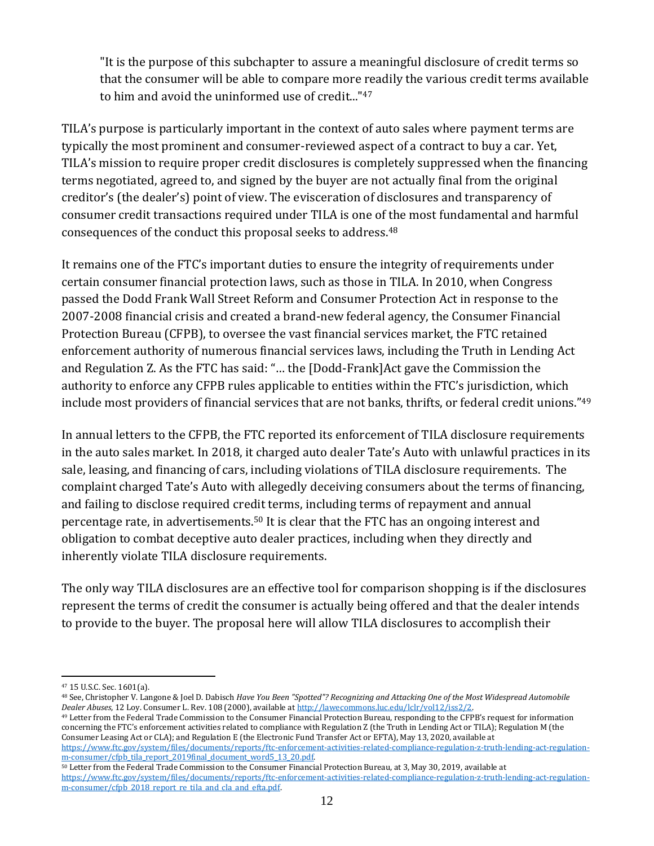"It is the purpose of this subchapter to assure a meaningful disclosure of credit terms so that the consumer will be able to compare more readily the various credit terms available to him and avoid the uninformed use of credit..."<sup>47</sup>

TILA's purpose is particularly important in the context of auto sales where payment terms are typically the most prominent and consumer-reviewed aspect of a contract to buy a car. Yet, TILA's mission to require proper credit disclosures is completely suppressed when the financing terms negotiated, agreed to, and signed by the buyer are not actually final from the original creditor's (the dealer's) point of view. The evisceration of disclosures and transparency of consumer credit transactions required under TILA is one of the most fundamental and harmful consequences of the conduct this proposal seeks to address.<sup>48</sup>

It remains one of the FTC's important duties to ensure the integrity of requirements under certain consumer financial protection laws, such as those in TILA. In 2010, when Congress passed the Dodd Frank Wall Street Reform and Consumer Protection Act in response to the 2007-2008 financial crisis and created a brand-new federal agency, the Consumer Financial Protection Bureau (CFPB), to oversee the vast financial services market, the FTC retained enforcement authority of numerous financial services laws, including the Truth in Lending Act and Regulation Z. As the FTC has said: "… the [Dodd-Frank]Act gave the Commission the authority to enforce any CFPB rules applicable to entities within the FTC's jurisdiction, which include most providers of financial services that are not banks, thrifts, or federal credit unions." 49

In annual letters to the CFPB, the FTC reported its enforcement of TILA disclosure requirements in the auto sales market. In 2018, it charged auto dealer Tate's Auto with unlawful practices in its sale, leasing, and financing of cars, including violations of TILA disclosure requirements. The complaint charged Tate's Auto with allegedly deceiving consumers about the terms of financing, and failing to disclose required credit terms, including terms of repayment and annual percentage rate, in advertisements.<sup>50</sup> It is clear that the FTC has an ongoing interest and obligation to combat deceptive auto dealer practices, including when they directly and inherently violate TILA disclosure requirements.

The only way TILA disclosures are an effective tool for comparison shopping is if the disclosures represent the terms of credit the consumer is actually being offered and that the dealer intends to provide to the buyer. The proposal here will allow TILA disclosures to accomplish their

<sup>47</sup> 15 U.S.C. Sec. 1601(a).

<sup>48</sup> See, Christopher V. Langone & Joel D. Dabisch *Have You Been "Spotted"? Recognizing and Attacking One of the Most Widespread Automobile Dealer Abuses*, 12 Loy. Consumer L. Rev. 108 (2000), available a[t http://lawecommons.luc.edu/lclr/vol12/iss2/2.](http://lawecommons.luc.edu/lclr/vol12/iss2/2) 

<sup>49</sup> Letter from the Federal Trade Commission to the Consumer Financial Protection Bureau, responding to the CFPB's request for information concerning the FTC's enforcement activities related to compliance with Regulation Z (the Truth in Lending Act or TILA); Regulation M (the Consumer Leasing Act or CLA); and Regulation E (the Electronic Fund Transfer Act or EFTA), May 13, 2020, available at

[https://www.ftc.gov/system/files/documents/reports/ftc-enforcement-activities-related-compliance-regulation-z-truth-lending-act-regulation](https://www.ftc.gov/system/files/documents/reports/ftc-enforcement-activities-related-compliance-regulation-z-truth-lending-act-regulation-m-consumer/cfpb_tila_report_2019final_document_word5_13_20.pdf)[m-consumer/cfpb\\_tila\\_report\\_2019final\\_document\\_word5\\_13\\_20.pdf.](https://www.ftc.gov/system/files/documents/reports/ftc-enforcement-activities-related-compliance-regulation-z-truth-lending-act-regulation-m-consumer/cfpb_tila_report_2019final_document_word5_13_20.pdf)

<sup>50</sup> Letter from the Federal Trade Commission to the Consumer Financial Protection Bureau, at 3, May 30, 2019, available at [https://www.ftc.gov/system/files/documents/reports/ftc-enforcement-activities-related-compliance-regulation-z-truth-lending-act-regulation](https://www.ftc.gov/system/files/documents/reports/ftc-enforcement-activities-related-compliance-regulation-z-truth-lending-act-regulation-m-consumer/cfpb_2018_report_re_tila_and_cla_and_efta.pdf)m-consumer/cfpb\_2018\_report\_re\_tila\_and\_cla\_and\_efta.pdf.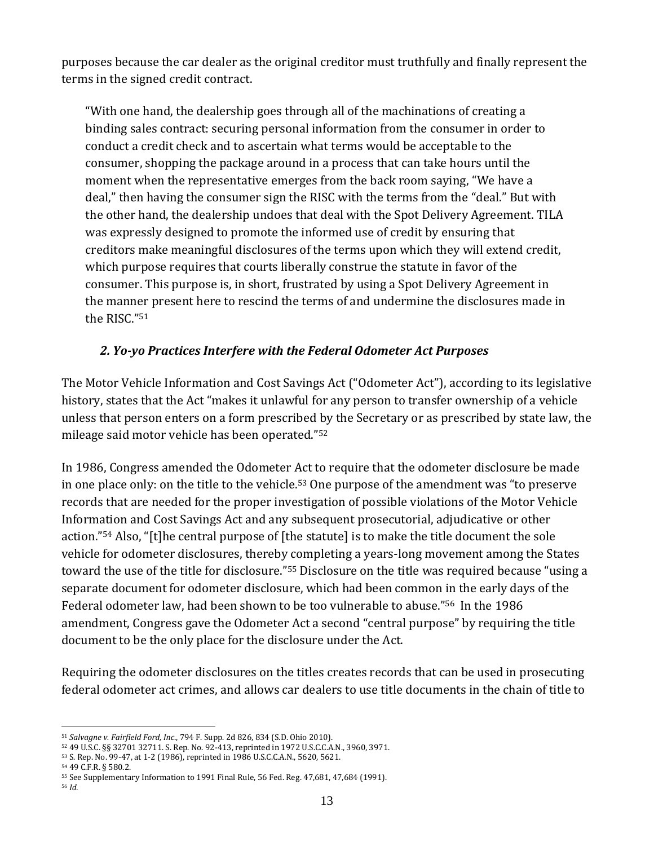purposes because the car dealer as the original creditor must truthfully and finally represent the terms in the signed credit contract.

"With one hand, the dealership goes through all of the machinations of creating a binding sales contract: securing personal information from the consumer in order to conduct a credit check and to ascertain what terms would be acceptable to the consumer, shopping the package around in a process that can take hours until the moment when the representative emerges from the back room saying, "We have a deal," then having the consumer sign the RISC with the terms from the "deal." But with the other hand, the dealership undoes that deal with the Spot Delivery Agreement. TILA was expressly designed to promote the informed use of credit by ensuring that creditors make meaningful disclosures of the terms upon which they will extend credit, which purpose requires that courts liberally construe the statute in favor of the consumer. This purpose is, in short, frustrated by using a Spot Delivery Agreement in the manner present here to rescind the terms of and undermine the disclosures made in the RISC." 51

#### <span id="page-12-0"></span>*2. Yo-yo Practices Interfere with the Federal Odometer Act Purposes*

The Motor Vehicle Information and Cost Savings Act ("Odometer Act"), according to its legislative history, states that the Act "makes it unlawful for any person to transfer ownership of a vehicle unless that person enters on a form prescribed by the Secretary or as prescribed by state law, the mileage said motor vehicle has been operated."<sup>52</sup>

In 1986, Congress amended the Odometer Act to require that the odometer disclosure be made in one place only: on the title to the vehicle.<sup>53</sup> One purpose of the amendment was "to preserve records that are needed for the proper investigation of possible violations of the Motor Vehicle Information and Cost Savings Act and any subsequent prosecutorial, adjudicative or other action."<sup>54</sup> Also, "[t]he central purpose of [the statute] is to make the title document the sole vehicle for odometer disclosures, thereby completing a years-long movement among the States toward the use of the title for disclosure."<sup>55</sup> Disclosure on the title was required because "using a separate document for odometer disclosure, which had been common in the early days of the Federal odometer law, had been shown to be too vulnerable to abuse."<sup>56</sup> In the 1986 amendment, Congress gave the Odometer Act a second "central purpose" by requiring the title document to be the only place for the disclosure under the Act.

Requiring the odometer disclosures on the titles creates records that can be used in prosecuting federal odometer act crimes, and allows car dealers to use title documents in the chain of title to

<sup>51</sup> *Salvagne v. Fairfield Ford, Inc*., 794 F. Supp. 2d 826, 834 (S.D. Ohio 2010).

<sup>52</sup> 49 U.S.C. §§ 32701 32711. S. Rep. No. 92-413, reprinted in 1972 U.S.C.C.A.N., 3960, 3971.

<sup>53</sup> S. Rep. No. 99-47, at 1-2 (1986), reprinted in 1986 U.S.C.C.A.N., 5620, 5621.

<sup>54</sup> 49 C.F.R. § 580.2.

<sup>55</sup> See Supplementary Information to 1991 Final Rule, 56 Fed. Reg. 47,681, 47,684 (1991).

<sup>56</sup> *Id.*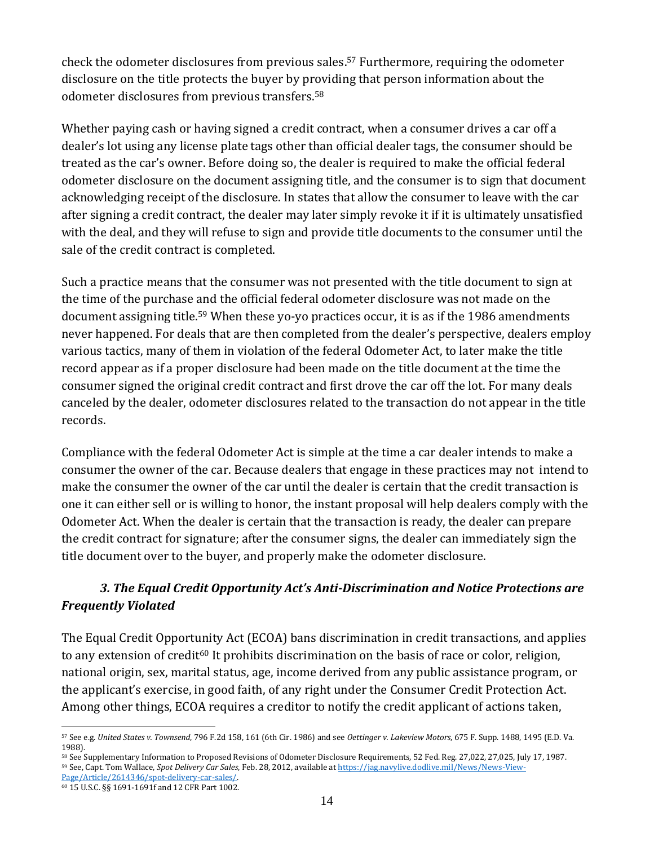check the odometer disclosures from previous sales. <sup>57</sup> Furthermore, requiring the odometer disclosure on the title protects the buyer by providing that person information about the odometer disclosures from previous transfers.<sup>58</sup>

Whether paying cash or having signed a credit contract, when a consumer drives a car off a dealer's lot using any license plate tags other than official dealer tags, the consumer should be treated as the car's owner. Before doing so, the dealer is required to make the official federal odometer disclosure on the document assigning title, and the consumer is to sign that document acknowledging receipt of the disclosure. In states that allow the consumer to leave with the car after signing a credit contract, the dealer may later simply revoke it if it is ultimately unsatisfied with the deal, and they will refuse to sign and provide title documents to the consumer until the sale of the credit contract is completed.

Such a practice means that the consumer was not presented with the title document to sign at the time of the purchase and the official federal odometer disclosure was not made on the document assigning title.<sup>59</sup> When these yo-yo practices occur, it is as if the 1986 amendments never happened. For deals that are then completed from the dealer's perspective, dealers employ various tactics, many of them in violation of the federal Odometer Act, to later make the title record appear as if a proper disclosure had been made on the title document at the time the consumer signed the original credit contract and first drove the car off the lot. For many deals canceled by the dealer, odometer disclosures related to the transaction do not appear in the title records.

Compliance with the federal Odometer Act is simple at the time a car dealer intends to make a consumer the owner of the car. Because dealers that engage in these practices may not intend to make the consumer the owner of the car until the dealer is certain that the credit transaction is one it can either sell or is willing to honor, the instant proposal will help dealers comply with the Odometer Act. When the dealer is certain that the transaction is ready, the dealer can prepare the credit contract for signature; after the consumer signs, the dealer can immediately sign the title document over to the buyer, and properly make the odometer disclosure.

## <span id="page-13-0"></span>*3. The Equal Credit Opportunity Act's Anti-Discrimination and Notice Protections are Frequently Violated*

The Equal Credit Opportunity Act (ECOA) bans discrimination in credit transactions, and applies to any extension of credit<sup>60</sup> It prohibits discrimination on the basis of race or color, religion, national origin, sex, marital status, age, income derived from any public assistance program, or the applicant's exercise, in good faith, of any right under the Consumer Credit Protection Act. Among other things, ECOA requires a creditor to notify the credit applicant of actions taken,

<sup>57</sup> See e.g. *United States v. Townsend*, 796 F.2d 158, 161 (6th Cir. 1986) and see *Oettinger v. Lakeview Motors*, 675 F. Supp. 1488, 1495 (E.D. Va. 1988).

<sup>&</sup>lt;sup>58</sup> See Supplementary Information to Proposed Revisions of Odometer Disclosure Requirements, 52 Fed. Reg. 27,022, 27,025, July 17, 1987. <sup>59</sup> See, Capt. Tom Wallace, *Spot Delivery Car Sales*, Feb. 28, 2012, available a[t https://jag.navylive.dodlive.mil/News/News-View-](https://jag.navylive.dodlive.mil/News/News-View-Page/Article/2614346/spot-delivery-car-sales/)

[Page/Article/2614346/spot-delivery-car-sales/.](https://jag.navylive.dodlive.mil/News/News-View-Page/Article/2614346/spot-delivery-car-sales/) 

<sup>60</sup> 15 U.S.C. §§ 1691-1691f and 12 CFR Part 1002.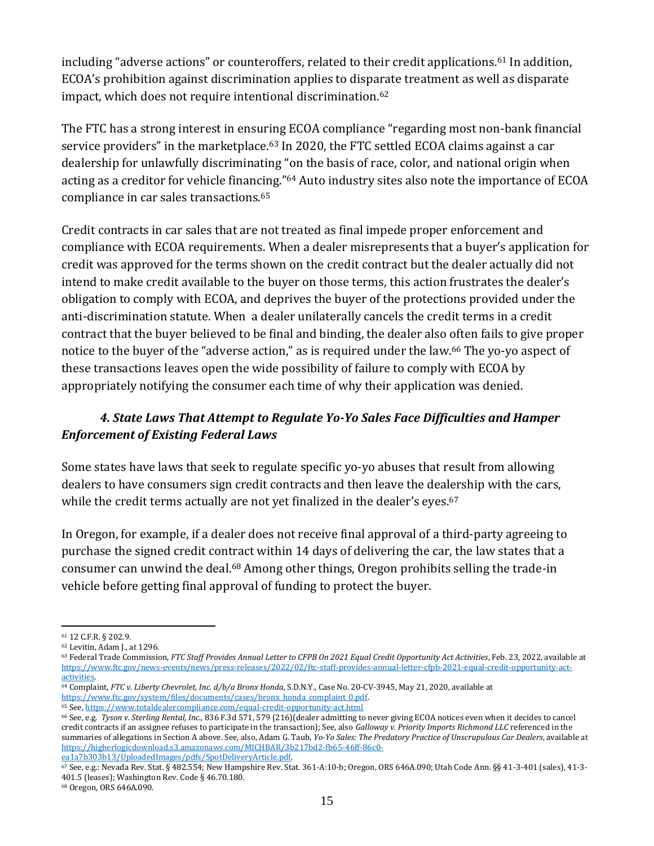including "adverse actions" or counteroffers, related to their credit applications.<sup>61</sup> In addition, ECOA's prohibition against discrimination applies to disparate treatment as well as disparate impact, which does not require intentional discrimination.<sup>62</sup>

The FTC has a strong interest in ensuring ECOA compliance "regarding most non-bank financial service providers" in the marketplace.<sup>63</sup> In 2020, the FTC settled ECOA claims against a car dealership for unlawfully discriminating "on the basis of race, color, and national origin when acting as a creditor for vehicle financing."<sup>64</sup> Auto industry sites also note the importance of ECOA compliance in car sales transactions.<sup>65</sup>

Credit contracts in car sales that are not treated as final impede proper enforcement and compliance with ECOA requirements. When a dealer misrepresents that a buyer's application for credit was approved for the terms shown on the credit contract but the dealer actually did not intend to make credit available to the buyer on those terms, this action frustrates the dealer's obligation to comply with ECOA, and deprives the buyer of the protections provided under the anti-discrimination statute. When a dealer unilaterally cancels the credit terms in a credit contract that the buyer believed to be final and binding, the dealer also often fails to give proper notice to the buyer of the "adverse action," as is required under the law.<sup>66</sup> The yo-yo aspect of these transactions leaves open the wide possibility of failure to comply with ECOA by appropriately notifying the consumer each time of why their application was denied.

### <span id="page-14-0"></span>*4. State Laws That Attempt to Regulate Yo-Yo Sales Face Difficulties and Hamper Enforcement of Existing Federal Laws*

Some states have laws that seek to regulate specific yo-yo abuses that result from allowing dealers to have consumers sign credit contracts and then leave the dealership with the cars, while the credit terms actually are not yet finalized in the dealer's eyes.<sup>67</sup>

In Oregon, for example, if a dealer does not receive final approval of a third-party agreeing to purchase the signed credit contract within 14 days of delivering the car, the law states that a consumer can unwind the deal.<sup>68</sup> Among other things, Oregon prohibits selling the trade-in vehicle before getting final approval of funding to protect the buyer.

[ea1a7b303b13/UploadedImages/pdfs/SpotDeliveryArticle.pdf.](https://higherlogicdownload.s3.amazonaws.com/MICHBAR/3b217bd2-fb65-46ff-86c0-ea1a7b303b13/UploadedImages/pdfs/SpotDeliveryArticle.pdf) 

<sup>61</sup> 12 C.F.R. § 202.9.

<sup>62</sup> Levitin, Adam J., at 1296.

<sup>&</sup>lt;sup>63</sup> Federal Trade Commission, *FTC Staff Provides Annual Letter to CFPB On 2021 Equal Credit Opportunity Act Activities*, Feb. 23, 2022, available at [https://www.ftc.gov/news-events/news/press-releases/2022/02/ftc-staff-provides-annual-letter-cfpb-2021-equal-credit-opportunity-act](https://www.ftc.gov/news-events/news/press-releases/2022/02/ftc-staff-provides-annual-letter-cfpb-2021-equal-credit-opportunity-act-activities)[activities.](https://www.ftc.gov/news-events/news/press-releases/2022/02/ftc-staff-provides-annual-letter-cfpb-2021-equal-credit-opportunity-act-activities) 

<sup>64</sup> Complaint, *FTC v. Liberty Chevrolet, Inc. d/b/a Bronx Honda*, S.D.N.Y., Case No. 20-CV-3945, May 21, 2020, available at [https://www.ftc.gov/system/files/documents/cases/bronx\\_honda\\_complaint\\_0.pdf.](https://www.ftc.gov/system/files/documents/cases/bronx_honda_complaint_0.pdf) 

<sup>65</sup> See[, https://www.totaldealercompliance.com/equal-credit-opportunity-act.html](https://www.totaldealercompliance.com/equal-credit-opportunity-act.html)

<sup>66</sup> See, e.g. *Tyson v. Sterling Rental, Inc.*, 836 F.3d 571, 579 (216)(dealer admitting to never giving ECOA notices even when it decides to cancel credit contracts if an assignee refuses to participate in the transaction); See, also *Galloway v. Priority Imports Richmond LLC* referenced in the summaries of allegations in Section A above. See, also, Adam G. Taub, *Yo-Yo Sales: The Predatory Practice of Unscrupulous Car Dealers*, available at [https://higherlogicdownload.s3.amazonaws.com/MICHBAR/3b217bd2-fb65-46ff-86c0-](https://higherlogicdownload.s3.amazonaws.com/MICHBAR/3b217bd2-fb65-46ff-86c0-ea1a7b303b13/UploadedImages/pdfs/SpotDeliveryArticle.pdf)

<sup>67</sup> See, e.g.: Nevada Rev. Stat. § 482.554; New Hampshire Rev. Stat. 361-A:10-b; Oregon, ORS 646A.090; Utah Code Ann. §§ 41-3-401 (sales), 41-3- 401.5 (leases); Washington Rev. Code § 46.70.180.

<sup>68</sup> Oregon, ORS 646A.090.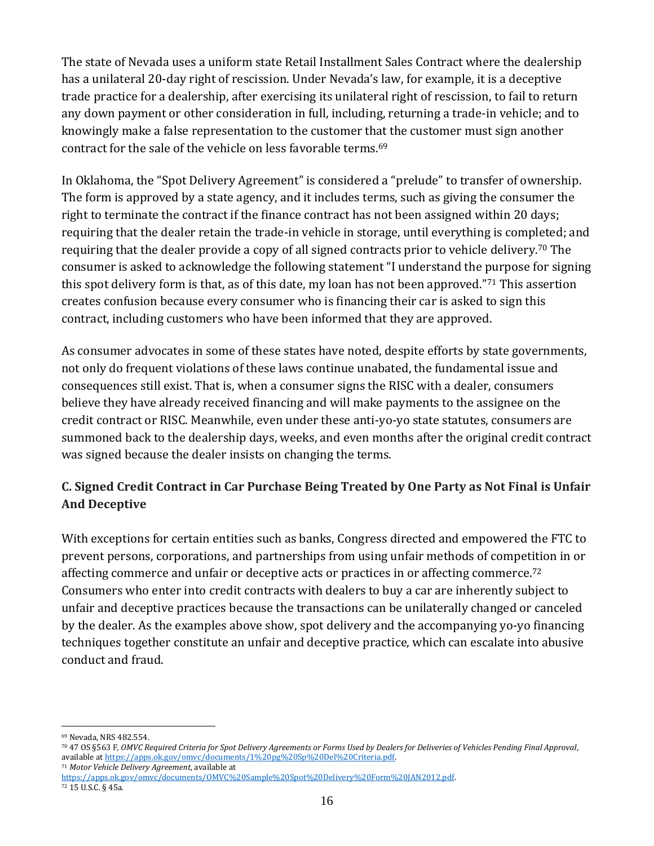The state of Nevada uses a uniform state Retail Installment Sales Contract where the dealership has a unilateral 20-day right of rescission. Under Nevada's law, for example, it is a deceptive trade practice for a dealership, after exercising its unilateral right of rescission, to fail to return any down payment or other consideration in full, including, returning a trade-in vehicle; and to knowingly make a false representation to the customer that the customer must sign another contract for the sale of the vehicle on less favorable terms.<sup>69</sup>

In Oklahoma, the "Spot Delivery Agreement" is considered a "prelude" to transfer of ownership. The form is approved by a state agency, and it includes terms, such as giving the consumer the right to terminate the contract if the finance contract has not been assigned within 20 days; requiring that the dealer retain the trade-in vehicle in storage, until everything is completed; and requiring that the dealer provide a copy of all signed contracts prior to vehicle delivery. <sup>70</sup> The consumer is asked to acknowledge the following statement "I understand the purpose for signing this spot delivery form is that, as of this date, my loan has not been approved."<sup>71</sup> This assertion creates confusion because every consumer who is financing their car is asked to sign this contract, including customers who have been informed that they are approved.

As consumer advocates in some of these states have noted, despite efforts by state governments, not only do frequent violations of these laws continue unabated, the fundamental issue and consequences still exist. That is, when a consumer signs the RISC with a dealer, consumers believe they have already received financing and will make payments to the assignee on the credit contract or RISC. Meanwhile, even under these anti-yo-yo state statutes, consumers are summoned back to the dealership days, weeks, and even months after the original credit contract was signed because the dealer insists on changing the terms.

# <span id="page-15-0"></span>**C. Signed Credit Contract in Car Purchase Being Treated by One Party as Not Final is Unfair And Deceptive**

With exceptions for certain entities such as banks, Congress directed and empowered the FTC to prevent persons, corporations, and partnerships from using unfair methods of competition in or affecting commerce and unfair or deceptive acts or practices in or affecting commerce.<sup>72</sup> Consumers who enter into credit contracts with dealers to buy a car are inherently subject to unfair and deceptive practices because the transactions can be unilaterally changed or canceled by the dealer. As the examples above show, spot delivery and the accompanying yo-yo financing techniques together constitute an unfair and deceptive practice, which can escalate into abusive conduct and fraud.

<sup>72</sup> 15 U.S.C. § 45a.

<sup>69</sup> Nevada, NRS 482.554.

<sup>70</sup> 47 OS §563 F*, OMVC Required Criteria for Spot Delivery Agreements or Forms Used by Dealers for Deliveries of Vehicles Pending Final Approval*, available a[t https://apps.ok.gov/omvc/documents/1%20pg%20Sp%20Del%20Criteria.pdf.](https://apps.ok.gov/omvc/documents/1%20pg%20Sp%20Del%20Criteria.pdf)

<sup>71</sup> *Motor Vehicle Delivery Agreement*, available at

[https://apps.ok.gov/omvc/documents/OMVC%20Sample%20Spot%20Delivery%20Form%20JAN2012.pdf.](https://apps.ok.gov/omvc/documents/OMVC%20Sample%20Spot%20Delivery%20Form%20JAN2012.pdf)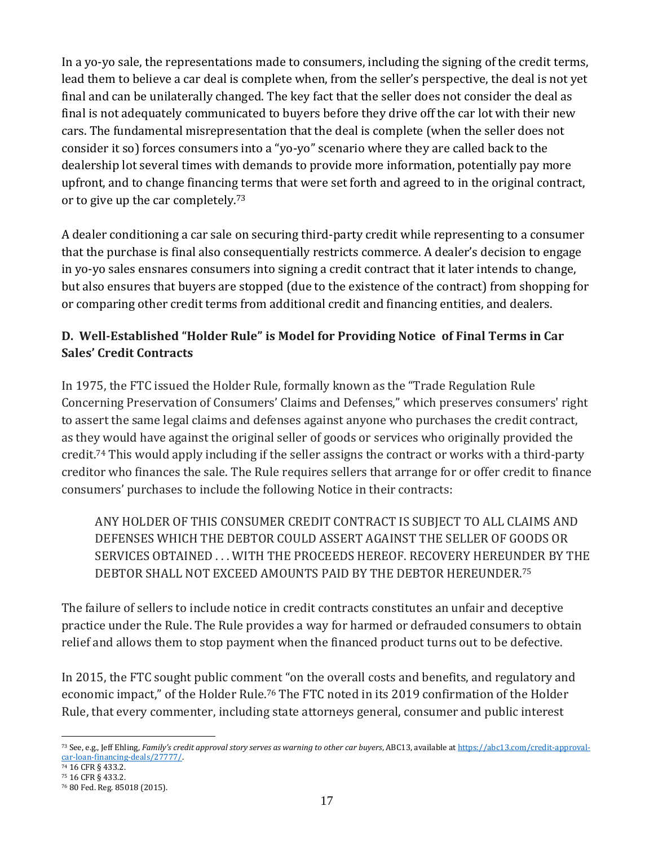In a yo-yo sale, the representations made to consumers, including the signing of the credit terms, lead them to believe a car deal is complete when, from the seller's perspective, the deal is not yet final and can be unilaterally changed. The key fact that the seller does not consider the deal as final is not adequately communicated to buyers before they drive off the car lot with their new cars. The fundamental misrepresentation that the deal is complete (when the seller does not consider it so) forces consumers into a "yo-yo" scenario where they are called back to the dealership lot several times with demands to provide more information, potentially pay more upfront, and to change financing terms that were set forth and agreed to in the original contract, or to give up the car completely.<sup>73</sup>

A dealer conditioning a car sale on securing third-party credit while representing to a consumer that the purchase is final also consequentially restricts commerce. A dealer's decision to engage in yo-yo sales ensnares consumers into signing a credit contract that it later intends to change, but also ensures that buyers are stopped (due to the existence of the contract) from shopping for or comparing other credit terms from additional credit and financing entities, and dealers.

### <span id="page-16-0"></span>**D. Well-Established "Holder Rule" is Model for Providing Notice of Final Terms in Car Sales' Credit Contracts**

In 1975, the FTC issued the Holder Rule, formally known as the "Trade Regulation Rule Concerning Preservation of Consumers' Claims and Defenses," which preserves consumers' right to assert the same legal claims and defenses against anyone who purchases the credit contract, as they would have against the original seller of goods or services who originally provided the credit.<sup>74</sup> This would apply including if the seller assigns the contract or works with a third-party creditor who finances the sale. The Rule requires sellers that arrange for or offer credit to finance consumers' purchases to include the following Notice in their contracts:

ANY HOLDER OF THIS CONSUMER CREDIT CONTRACT IS SUBJECT TO ALL CLAIMS AND DEFENSES WHICH THE DEBTOR COULD ASSERT AGAINST THE SELLER OF GOODS OR SERVICES OBTAINED . . . WITH THE PROCEEDS HEREOF. RECOVERY HEREUNDER BY THE DEBTOR SHALL NOT EXCEED AMOUNTS PAID BY THE DEBTOR HEREUNDER.<sup>75</sup>

The failure of sellers to include notice in credit contracts constitutes an unfair and deceptive practice under the Rule. The Rule provides a way for harmed or defrauded consumers to obtain relief and allows them to stop payment when the financed product turns out to be defective.

In 2015, the FTC sought public comment "on the overall costs and benefits, and regulatory and economic impact," of the Holder Rule.<sup>76</sup> The FTC noted in its 2019 confirmation of the Holder Rule, that every commenter, including state attorneys general, consumer and public interest

<sup>73</sup> See, e.g., Jeff Ehling, *Family's credit approval story serves as warning to other car buyers*, ABC13, available a[t https://abc13.com/credit-approval](https://abc13.com/credit-approval-car-loan-financing-deals/27777/)[car-loan-financing-deals/27777/.](https://abc13.com/credit-approval-car-loan-financing-deals/27777/) 

<sup>74</sup> 16 CFR § 433.2.

<sup>75</sup> 16 CFR § 433.2.

<sup>76</sup> 80 Fed. Reg. 85018 (2015).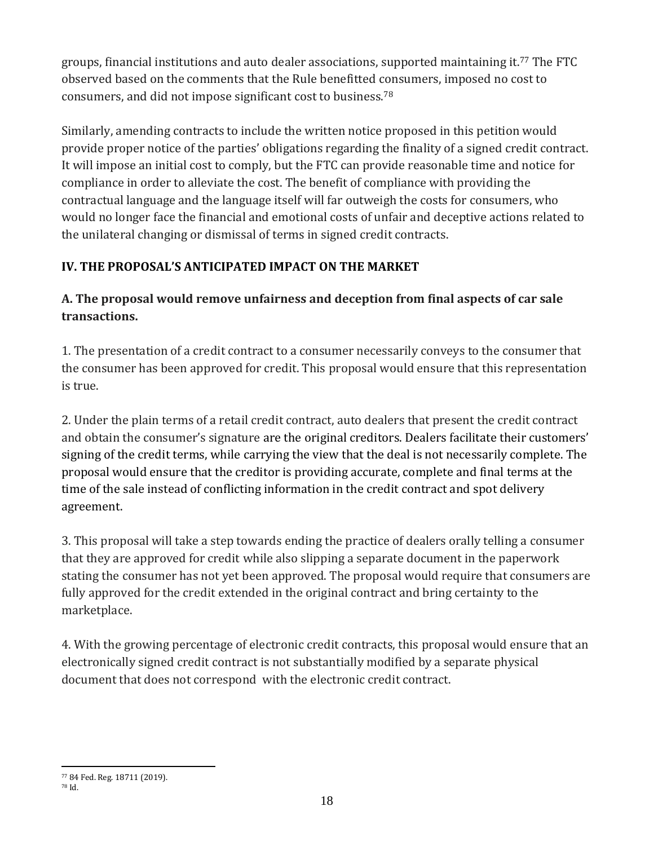groups, financial institutions and auto dealer associations, supported maintaining it. <sup>77</sup> The FTC observed based on the comments that the Rule benefitted consumers, imposed no cost to consumers, and did not impose significant cost to business.<sup>78</sup>

Similarly, amending contracts to include the written notice proposed in this petition would provide proper notice of the parties' obligations regarding the finality of a signed credit contract. It will impose an initial cost to comply, but the FTC can provide reasonable time and notice for compliance in order to alleviate the cost. The benefit of compliance with providing the contractual language and the language itself will far outweigh the costs for consumers, who would no longer face the financial and emotional costs of unfair and deceptive actions related to the unilateral changing or dismissal of terms in signed credit contracts.

## <span id="page-17-0"></span>**IV. THE PROPOSAL'S ANTICIPATED IMPACT ON THE MARKET**

## <span id="page-17-1"></span>**A. The proposal would remove unfairness and deception from final aspects of car sale transactions.**

1. The presentation of a credit contract to a consumer necessarily conveys to the consumer that the consumer has been approved for credit. This proposal would ensure that this representation is true.

2. Under the plain terms of a retail credit contract, auto dealers that present the credit contract and obtain the consumer's signature are the original creditors. Dealers facilitate their customers' signing of the credit terms, while carrying the view that the deal is not necessarily complete. The proposal would ensure that the creditor is providing accurate, complete and final terms at the time of the sale instead of conflicting information in the credit contract and spot delivery agreement.

3. This proposal will take a step towards ending the practice of dealers orally telling a consumer that they are approved for credit while also slipping a separate document in the paperwork stating the consumer has not yet been approved. The proposal would require that consumers are fully approved for the credit extended in the original contract and bring certainty to the marketplace.

4. With the growing percentage of electronic credit contracts, this proposal would ensure that an electronically signed credit contract is not substantially modified by a separate physical document that does not correspond with the electronic credit contract.

<sup>77</sup> 84 Fed. Reg. 18711 (2019).

<sup>78</sup> Id.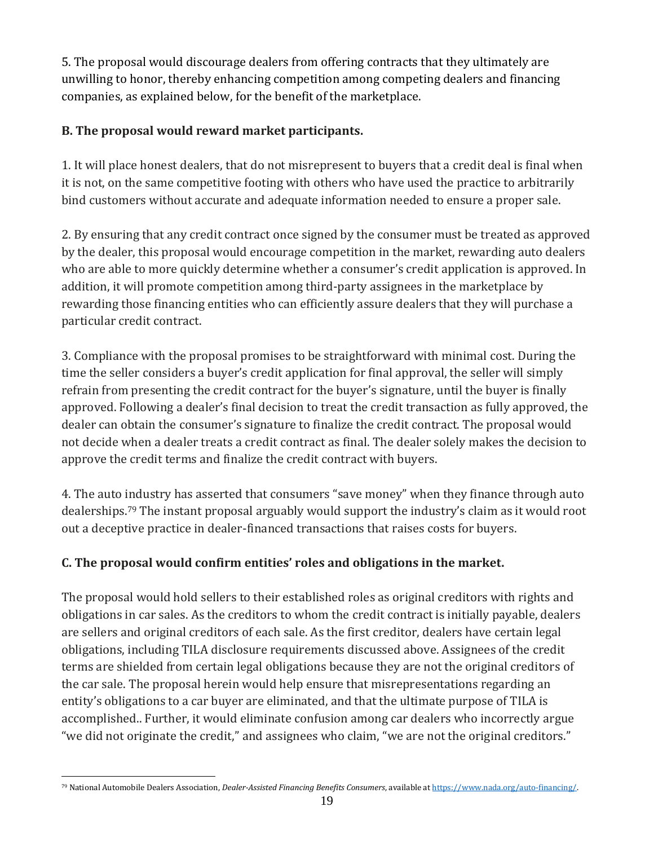5. The proposal would discourage dealers from offering contracts that they ultimately are unwilling to honor, thereby enhancing competition among competing dealers and financing companies, as explained below, for the benefit of the marketplace.

## <span id="page-18-0"></span>**B. The proposal would reward market participants.**

1. It will place honest dealers, that do not misrepresent to buyers that a credit deal is final when it is not, on the same competitive footing with others who have used the practice to arbitrarily bind customers without accurate and adequate information needed to ensure a proper sale.

2. By ensuring that any credit contract once signed by the consumer must be treated as approved by the dealer, this proposal would encourage competition in the market, rewarding auto dealers who are able to more quickly determine whether a consumer's credit application is approved. In addition, it will promote competition among third-party assignees in the marketplace by rewarding those financing entities who can efficiently assure dealers that they will purchase a particular credit contract.

3. Compliance with the proposal promises to be straightforward with minimal cost. During the time the seller considers a buyer's credit application for final approval, the seller will simply refrain from presenting the credit contract for the buyer's signature, until the buyer is finally approved. Following a dealer's final decision to treat the credit transaction as fully approved, the dealer can obtain the consumer's signature to finalize the credit contract. The proposal would not decide when a dealer treats a credit contract as final. The dealer solely makes the decision to approve the credit terms and finalize the credit contract with buyers.

4. The auto industry has asserted that consumers "save money" when they finance through auto dealerships.<sup>79</sup> The instant proposal arguably would support the industry's claim as it would root out a deceptive practice in dealer-financed transactions that raises costs for buyers.

# <span id="page-18-1"></span>**C. The proposal would confirm entities' roles and obligations in the market.**

The proposal would hold sellers to their established roles as original creditors with rights and obligations in car sales. As the creditors to whom the credit contract is initially payable, dealers are sellers and original creditors of each sale. As the first creditor, dealers have certain legal obligations, including TILA disclosure requirements discussed above. Assignees of the credit terms are shielded from certain legal obligations because they are not the original creditors of the car sale. The proposal herein would help ensure that misrepresentations regarding an entity's obligations to a car buyer are eliminated, and that the ultimate purpose of TILA is accomplished.. Further, it would eliminate confusion among car dealers who incorrectly argue "we did not originate the credit," and assignees who claim, "we are not the original creditors."

<sup>79</sup> National Automobile Dealers Association, *Dealer-Assisted Financing Benefits Consumers*, available a[t https://www.nada.org/auto-financing/.](https://www.nada.org/auto-financing/)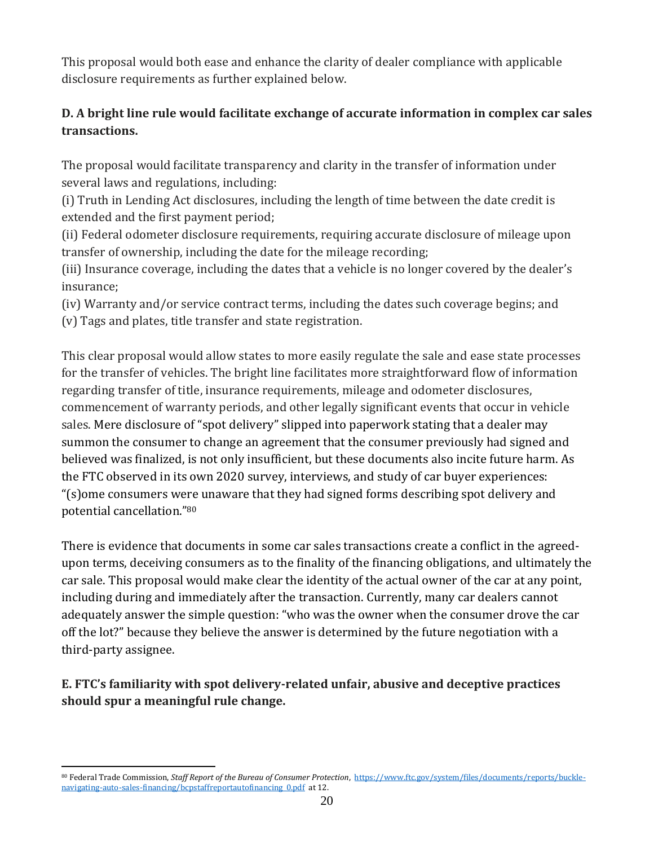This proposal would both ease and enhance the clarity of dealer compliance with applicable disclosure requirements as further explained below.

## <span id="page-19-0"></span>**D. A bright line rule would facilitate exchange of accurate information in complex car sales transactions.**

The proposal would facilitate transparency and clarity in the transfer of information under several laws and regulations, including:

(i) Truth in Lending Act disclosures, including the length of time between the date credit is extended and the first payment period;

(ii) Federal odometer disclosure requirements, requiring accurate disclosure of mileage upon transfer of ownership, including the date for the mileage recording;

(iii) Insurance coverage, including the dates that a vehicle is no longer covered by the dealer's insurance;

(iv) Warranty and/or service contract terms, including the dates such coverage begins; and (v) Tags and plates, title transfer and state registration.

This clear proposal would allow states to more easily regulate the sale and ease state processes for the transfer of vehicles. The bright line facilitates more straightforward flow of information regarding transfer of title, insurance requirements, mileage and odometer disclosures, commencement of warranty periods, and other legally significant events that occur in vehicle sales. Mere disclosure of "spot delivery" slipped into paperwork stating that a dealer may summon the consumer to change an agreement that the consumer previously had signed and believed was finalized, is not only insufficient, but these documents also incite future harm. As the FTC observed in its own 2020 survey, interviews, and study of car buyer experiences: "(s)ome consumers were unaware that they had signed forms describing spot delivery and potential cancellation."<sup>80</sup>

There is evidence that documents in some car sales transactions create a conflict in the agreedupon terms, deceiving consumers as to the finality of the financing obligations, and ultimately the car sale. This proposal would make clear the identity of the actual owner of the car at any point, including during and immediately after the transaction. Currently, many car dealers cannot adequately answer the simple question: "who was the owner when the consumer drove the car off the lot?" because they believe the answer is determined by the future negotiation with a third-party assignee.

# <span id="page-19-1"></span>**E. FTC's familiarity with spot delivery-related unfair, abusive and deceptive practices should spur a meaningful rule change.**

<sup>80</sup> Federal Trade Commission, *Staff Report of the Bureau of Consumer Protection*, [https://www.ftc.gov/system/files/documents/reports/buckle](https://www.ftc.gov/system/files/documents/reports/buckle-navigating-auto-sales-financing/bcpstaffreportautofinancing_0.pdf)navigating-auto-sales-financing/bcpstaffreportautofinancing 0.pdf at 12.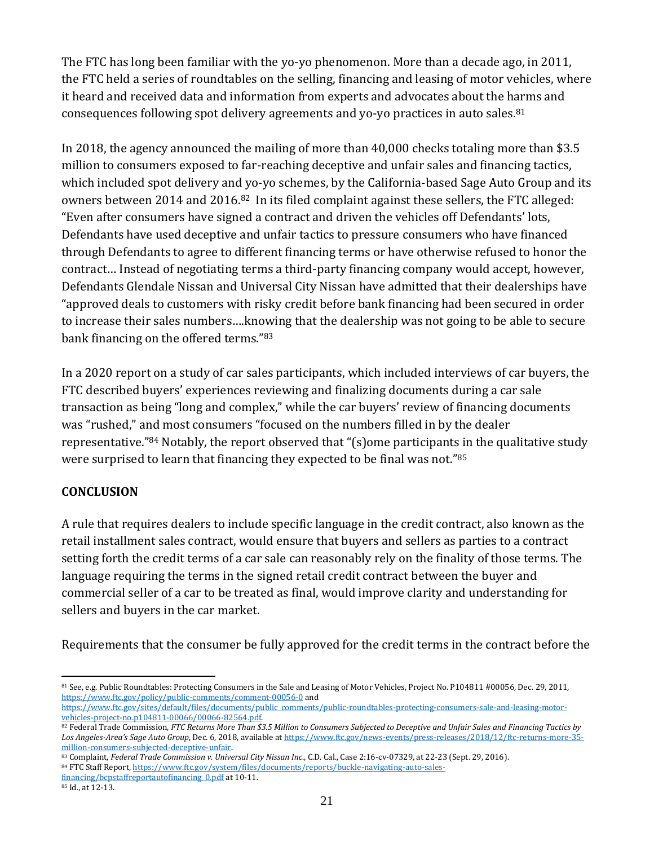The FTC has long been familiar with the yo-yo phenomenon. More than a decade ago, in 2011, the FTC held a series of roundtables on the selling, financing and leasing of motor vehicles, where it heard and received data and information from experts and advocates about the harms and consequences following spot delivery agreements and yo-yo practices in auto sales.<sup>81</sup>

In 2018, the agency announced the mailing of more than 40,000 checks totaling more than \$3.5 million to consumers exposed to far-reaching deceptive and unfair sales and financing tactics, which included spot delivery and yo-yo schemes, by the California-based Sage Auto Group and its owners between 2014 and 2016.82 In its filed complaint against these sellers, the FTC alleged: "Even after consumers have signed a contract and driven the vehicles off Defendants' lots, Defendants have used deceptive and unfair tactics to pressure consumers who have financed through Defendants to agree to different financing terms or have otherwise refused to honor the contract… Instead of negotiating terms a third-party financing company would accept, however, Defendants Glendale Nissan and Universal City Nissan have admitted that their dealerships have "approved deals to customers with risky credit before bank financing had been secured in order to increase their sales numbers….knowing that the dealership was not going to be able to secure bank financing on the offered terms."<sup>83</sup>

In a 2020 report on a study of car sales participants, which included interviews of car buyers, the FTC described buyers' experiences reviewing and finalizing documents during a car sale transaction as being "long and complex," while the car buyers' review of financing documents was "rushed," and most consumers "focused on the numbers filled in by the dealer representative."<sup>84</sup> Notably, the report observed that "(s)ome participants in the qualitative study were surprised to learn that financing they expected to be final was not."<sup>85</sup>

### <span id="page-20-0"></span>**CONCLUSION**

A rule that requires dealers to include specific language in the credit contract, also known as the retail installment sales contract, would ensure that buyers and sellers as parties to a contract setting forth the credit terms of a car sale can reasonably rely on the finality of those terms. The language requiring the terms in the signed retail credit contract between the buyer and commercial seller of a car to be treated as final, would improve clarity and understanding for sellers and buyers in the car market.

Requirements that the consumer be fully approved for the credit terms in the contract before the

<sup>83</sup> Complaint, *Federal Trade Commission v. Universal City Nissan Inc*., C.D. Cal., Case 2:16-cv-07329, at 22-23 (Sept. 29, 2016).

<sup>81</sup> See, e.g. Public Roundtables: Protecting Consumers in the Sale and Leasing of Motor Vehicles, Project No. P104811 #00056, Dec. 29, 2011, <https://www.ftc.gov/policy/public-comments/comment-00056-0> and

[https://www.ftc.gov/sites/default/files/documents/public\\_comments/public-roundtables-protecting-consumers-sale-and-leasing-motor](https://www.ftc.gov/sites/default/files/documents/public_comments/public-roundtables-protecting-consumers-sale-and-leasing-motor-vehicles-project-no.p104811-00066/00066-82564.pdf)[vehicles-project-no.p104811-00066/00066-82564.pdf.](https://www.ftc.gov/sites/default/files/documents/public_comments/public-roundtables-protecting-consumers-sale-and-leasing-motor-vehicles-project-no.p104811-00066/00066-82564.pdf) 

<sup>82</sup> Federal Trade Commission, *FTC Returns More Than \$3.5 Million to Consumers Subjected to Deceptive and Unfair Sales and Financing Tactics by Los Angeles-Area's Sage Auto Group*, Dec. 6, 2018, available a[t https://www.ftc.gov/news-events/press-releases/2018/12/ftc-returns-more-35](https://www.ftc.gov/news-events/press-releases/2018/12/ftc-returns-more-35-million-consumers-subjected-deceptive-unfair) [million-consumers-subjected-deceptive-unfair.](https://www.ftc.gov/news-events/press-releases/2018/12/ftc-returns-more-35-million-consumers-subjected-deceptive-unfair) 

<sup>84</sup> FTC Staff Report[, https://www.ftc.gov/system/files/documents/reports/buckle-navigating-auto-sales-](https://www.ftc.gov/system/files/documents/reports/buckle-navigating-auto-sales-financing/bcpstaffreportautofinancing_0.pdf)

financing/bcpstaffreportautofinancing 0.pdf at 10-11.

<sup>85</sup> Id., at 12-13.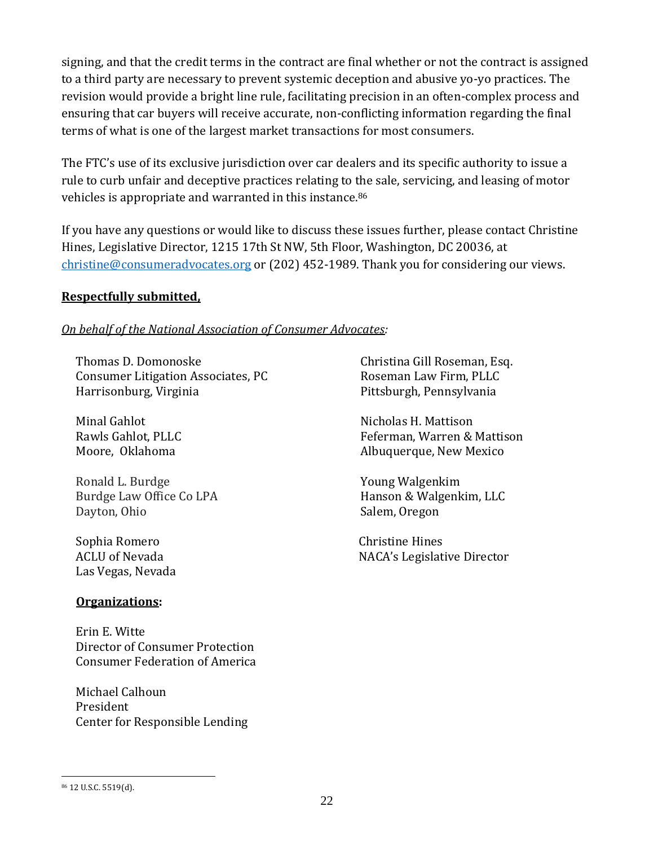signing, and that the credit terms in the contract are final whether or not the contract is assigned to a third party are necessary to prevent systemic deception and abusive yo-yo practices. The revision would provide a bright line rule, facilitating precision in an often-complex process and ensuring that car buyers will receive accurate, non-conflicting information regarding the final terms of what is one of the largest market transactions for most consumers.

The FTC's use of its exclusive jurisdiction over car dealers and its specific authority to issue a rule to curb unfair and deceptive practices relating to the sale, servicing, and leasing of motor vehicles is appropriate and warranted in this instance. 86

If you have any questions or would like to discuss these issues further, please contact Christine Hines, Legislative Director, 1215 17th St NW, 5th Floor, Washington, DC 20036, at [christine@consumeradvocates.org](mailto:christine@consumeradvocates.org) or (202) 452-1989. Thank you for considering our views.

#### **Respectfully submitted,**

#### *On behalf of the National Association of Consumer Advocates:*

Thomas D. Domonoske Consumer Litigation Associates, PC Harrisonburg, Virginia

Minal Gahlot Rawls Gahlot, PLLC Moore, Oklahoma

Ronald L. Burdge Burdge Law Office Co LPA Dayton, Ohio

Sophia RomeroChristine Hines Las Vegas, Nevada

#### **Organizations:**

Erin E. Witte Director of Consumer Protection Consumer Federation of America

Michael Calhoun President Center for Responsible Lending

Christina Gill Roseman, Esq. Roseman Law Firm, PLLC Pittsburgh, Pennsylvania

Nicholas H. Mattison Feferman, Warren & Mattison Albuquerque, New Mexico

Young Walgenkim Hanson & Walgenkim, LLC Salem, Oregon

ACLU of Nevada NACA's Legislative Director

<sup>86</sup> 12 U.S.C. 5519(d).